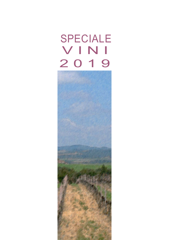# SPECIALE V I N I 2 0 1 9

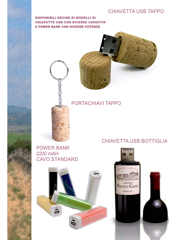## CHIAVETTA USB TAPPO

# DISPONIBILI DECINE DI MODELLI DI<br>CHIAVETTE USB CON DIVERSE CAPACITA' **E POWER BANK CON DIVERSE POTENZE**



PORTACHIAVI TAPPO

POWER BANK 2200 mAH CAVO STANDARD



# CHIAVETTA USB BOTTIGLIA

**PAUTLEAC** 

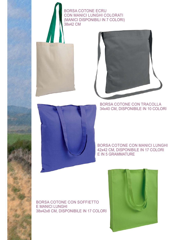BORSA COTONE ECRU CON MANICI LUNGHI COLORATI (MANICI DISPONIBILI IN 7 COLORI) 38x42 CM

#### BORSA COTONE CON TRACOLLA 34x40 CM, DISPONIBILE IN 10 COLORI



BORSA COTONE CON MANICI LUNGHI 42x42 CM, DISPONIBILE IN 17 COLORI E IN 5 GRAMMATURE

#### BORSA COTONE CON SOFFIETTO E MANICI LUNGHI 38x42x8 CM, DISPONIBILE IN 17 COLORI

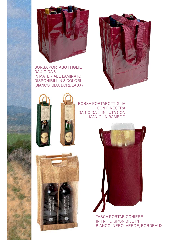

BORSA PORTABOTTIGLIE DA 4 O DA 6 IN MATERIALE LAMINATO DISPONIBILI IN 3 COLORI (BIANCO, BLU, BORDEAUX)





**PDIN** 

BORSA PORTABOTTIGLIA CON FINESTRA DA 1 O DA 2, IN JUTA CON MANICI IN BAMBOO





TASCA PORTABICCHIERE IN TNT, DISPONIBILE IN BIANCO, NERO, VERDE, BORDEAUX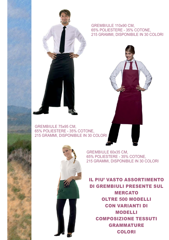#### GREMBIULE 110x90 CM, 65% POLIESTERE - 35% COTONE, 215 GRAMMI, DISPONIBILE IN 30 COLORI





GREMBIULE 60x35 CM, 65% POLIESTERE - 35% COTONE, 215 GRAMMI, DISPONIBILE IN 30 COLORI

**IL PIU' VASTO ASSORTIMENTO** DI GREMBIULI PRESENTE SUL **MERCATO OLTRE 500 MODELLI CON VARIANTI DI MODELLI COMPOSIZIONE TESSUTI GRAMMATURE** COLORI COLORI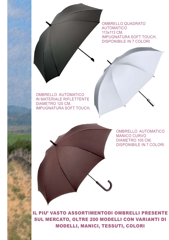OMBRELLO QUADRATO AUTOMATICO 113x113 CM, IMPUGNATURA SOFT TOUCH, DISPONIBILE IN 7 COLORI





OMBRELLO AUTOMATICO MANICO CURVO DIAMETRO 105 CM, DISPONIBILE IN 7 COLORI

IL PIU' VASTO ASSORTIMENTODI OMBRELLI PRESENTE SUL MERCATO, OLTRE 200 MODELLI CON VARIANTI DI SUCH MERCATO, OLDRE 200 MODELLI CON VARIANTI DI COLORI MODELLI, MANICI, TESSUTI, COLORI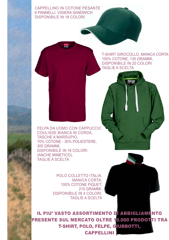CAPPELLINO IN COTONE PESANTE 6 PANNELLI, VISIERA SANDWICH DISPONIBILE IN 18 COLORI

> T-SHIRT GIROCOLLO, MANICA CORTA 100% COTONE, 135 GRAMMI, DISPONIBILE IN 20 COLORI TAGLIE A SCELTA

FELPA DA UOMO CON CAPPUCCIO, COULISSE BIANCA IN CORDA, TASCHE A MARSUPIO, 70% COTONE - 30% POLIESTERE, 300 GRAMMI, DISPONIBILE IN 16 COLORI (ANCHE MIMETICO), TAGLIE A SCELTA

> POLO COLLETTO ITALIA, MANICA CORTA, 100% COTONE PIQUET, 210 GRAMMI, DISPONIBILE IN 4 COLORI, TAGLIE A SCELTA

IL PIU' VASTO ASSORTIMENTO D<mark>I ABBIGLIAME</mark>NTO<br>PRESENTE SUL MERCATO OLTRE 10.000 PRODOTI TRA T-SHIRT, POLO, FELPE, GUBBOTTI, CAPPELLINI CAPPELLINI